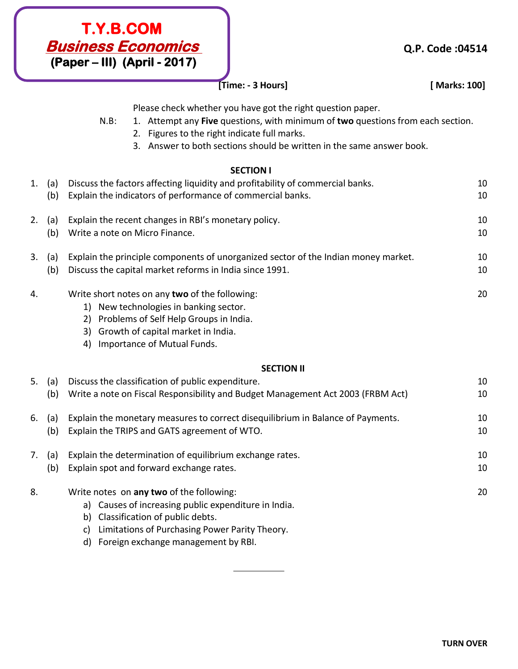

## **[Time: - 3 Hours] [ Marks: 100]**

Please check whether you have got the right question paper.

- N.B: 1. Attempt any **Five** questions, with minimum of **two** questions from each section.
	- 2. Figures to the right indicate full marks.
	- 3. Answer to both sections should be written in the same answer book.

## **SECTION I**

| 1. | (a) | Discuss the factors affecting liquidity and profitability of commercial banks.                                                                                                                                                           | 10 |
|----|-----|------------------------------------------------------------------------------------------------------------------------------------------------------------------------------------------------------------------------------------------|----|
|    | (b) | Explain the indicators of performance of commercial banks.                                                                                                                                                                               | 10 |
| 2. | (a) | Explain the recent changes in RBI's monetary policy.                                                                                                                                                                                     | 10 |
|    | (b) | Write a note on Micro Finance.                                                                                                                                                                                                           | 10 |
| 3. | (a) | Explain the principle components of unorganized sector of the Indian money market.                                                                                                                                                       | 10 |
|    | (b) | Discuss the capital market reforms in India since 1991.                                                                                                                                                                                  | 10 |
| 4. |     | Write short notes on any two of the following:<br>1) New technologies in banking sector.<br>2) Problems of Self Help Groups in India.<br>3) Growth of capital market in India.<br>Importance of Mutual Funds.<br>4)                      | 20 |
|    |     | <b>SECTION II</b>                                                                                                                                                                                                                        |    |
| 5. | (a) | Discuss the classification of public expenditure.                                                                                                                                                                                        | 10 |
|    | (b) | Write a note on Fiscal Responsibility and Budget Management Act 2003 (FRBM Act)                                                                                                                                                          | 10 |
| 6. | (a) | Explain the monetary measures to correct disequilibrium in Balance of Payments.                                                                                                                                                          | 10 |
|    | (b) | Explain the TRIPS and GATS agreement of WTO.                                                                                                                                                                                             | 10 |
| 7. | (a) | Explain the determination of equilibrium exchange rates.                                                                                                                                                                                 | 10 |
|    | (b) | Explain spot and forward exchange rates.                                                                                                                                                                                                 | 10 |
| 8. |     | Write notes on any two of the following:<br>a) Causes of increasing public expenditure in India.<br>b) Classification of public debts.<br>Limitations of Purchasing Power Parity Theory.<br>c)<br>d) Foreign exchange management by RBI. | 20 |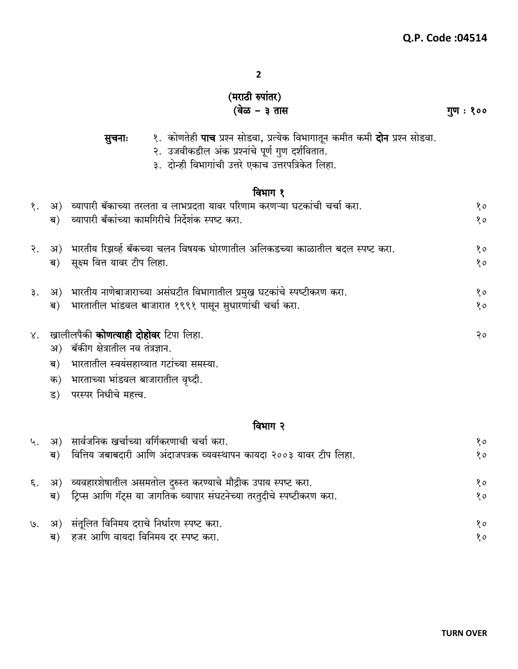## (मराठी रुपांतर)<br>(वेळ – ३ तास

सुचनाः

१. कोणतेही **पाच** प्रश्न सोडवा, प्रत्येक विभागातून कमीत कमी **दोन** प्रश्न सोडवा.<br>२. उजवीकडील अंक प्रश्नांचे पूर्ण गुण दर्शवितात.

गुण : १००

|                 |    | ३.  दोन्ही विभागांची उत्तरे एकाच उत्तरपत्रिकेत लिहा.                                   |    |  |  |  |
|-----------------|----|----------------------------------------------------------------------------------------|----|--|--|--|
| विभाग १         |    |                                                                                        |    |  |  |  |
| $\mathcal{S}$ . |    | ्अ)   व्यापारी बॅकाच्या तरलता व लाभप्रदता यावर परिणाम करणऱ्या घटकांची चर्चा करा.       | 80 |  |  |  |
|                 | ब) | व्यापारी बँकांच्या कामगिरीचे निर्देशंक स्पष्ट करा.                                     | 80 |  |  |  |
|                 |    | २.   अ)   भारतीय रिझर्व्ह बॅकच्या चलन विषयक धोरणातील अलिकडच्या काळातील बदल स्पष्ट करा. | 80 |  |  |  |
|                 | ब) | सूक्ष्म वित्त यावर टीप लिहा.                                                           | 80 |  |  |  |
| ३.              |    | अ) भारतीय नाणेबाजाराच्या असंघटीत विभागातील प्रमुख घटकांचे स्पष्टीकरण करा.              | 80 |  |  |  |
|                 | ब) | भारतातील भांडवल बाजारात १९९१ पासून सुधारणांची चर्चा करा.                               | 80 |  |  |  |
|                 |    | ४.   खालीलपैकी <b>कोणत्याही दोहोवर</b> टिपा लिहा.                                      | २० |  |  |  |
|                 | अ) | बॅकीग क्षेत्रातील नव तंत्रज्ञान.                                                       |    |  |  |  |
|                 | ब) | भारतातील स्वयंसहाय्यात गटांच्या समस्या.                                                |    |  |  |  |
|                 | क) | भारताच्या भांडवल बाजारातील वृध्दी.                                                     |    |  |  |  |
|                 |    | ड) परस्पर निधीचे महत्त्व.                                                              |    |  |  |  |
|                 |    | विभाग २                                                                                |    |  |  |  |
| ५.              |    | अ) सार्वजनिक खर्चाच्या वर्गिकरणाची चर्चा करा.                                          | 80 |  |  |  |
|                 | ब) | वित्तिय जबाबदारी आणि अंदाजपत्रक व्यवस्थापन कायदा २००३ यावर टीप लिहा.                   | 80 |  |  |  |

|  | ६. अ) व्यवहारशेषातील असमतोल दुरुस्त करण्याचे मौद्रीक उपाय स्पष्ट करा.    | १० |
|--|--------------------------------------------------------------------------|----|
|  | ब) हिप्स आणि गॅट्स या जागतिक व्यापार संघटनेच्या तरतुदीचे स्पष्टीकरण करा. | १० |
|  | ७. अ) संतूलित विनिमय दराचे निर्धारण स्पष्ट करा.                          | १० |

| $\mathbf{y} = \mathbf{y} = \mathbf{y} = \mathbf{y} = \mathbf{y} = \mathbf{y} = \mathbf{y} = \mathbf{y} = \mathbf{y} = \mathbf{y} = \mathbf{y} = \mathbf{y} = \mathbf{y} = \mathbf{y} = \mathbf{y} = \mathbf{y} = \mathbf{y} = \mathbf{y} = \mathbf{y} = \mathbf{y} = \mathbf{y} = \mathbf{y} = \mathbf{y} = \mathbf{y} = \mathbf{y} = \mathbf{y} = \mathbf{y} = \mathbf{y} = \mathbf{y} = \mathbf{y} = \mathbf{y} = \mathbf$ |  |
|------------------------------------------------------------------------------------------------------------------------------------------------------------------------------------------------------------------------------------------------------------------------------------------------------------------------------------------------------------------------------------------------------------------------------|--|
| ब)   हजर आणि वायदा विनिमय दर स्पष्ट करा.                                                                                                                                                                                                                                                                                                                                                                                     |  |